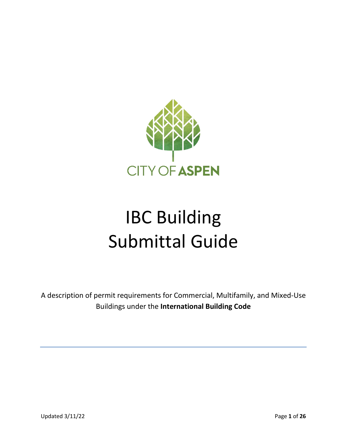

# IBC Building Submittal Guide

A description of permit requirements for Commercial, Multifamily, and Mixed-Use Buildings under the **International Building Code**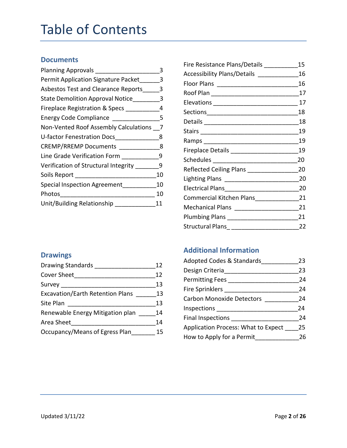# Table of Contents

#### **Documents**

| <b>Planning Approvals</b>                  |    |
|--------------------------------------------|----|
| Permit Application Signature Packet        | 3  |
| <b>Asbestos Test and Clearance Reports</b> | 3  |
| State Demolition Approval Notice           | 3  |
| Fireplace Registration & Specs             | 4  |
| Energy Code Compliance __________          | 5  |
| Non-Vented Roof Assembly Calculations      |    |
| U-factor Fenestration Docs                 | 8  |
| <b>CREMP/RREMP Documents</b>               | -8 |
| Line Grade Verification Form               | 9  |
| Verification of Structural Integrity       | 9  |
| Soils Report _________________             | 10 |
| <b>Special Inspection Agreement</b>        | 10 |
| Photos                                     | 10 |
| Unit/Building Relationship                 | 11 |

| Fire Resistance Plans/Details _________   | 15   |
|-------------------------------------------|------|
| Accessibility Plans/Details _____________ | 16   |
|                                           | 16   |
|                                           | 17   |
|                                           | 17   |
|                                           | 18   |
|                                           | 18   |
|                                           | - 19 |
|                                           | -19  |
|                                           | 19   |
|                                           | 20   |
| Reflected Ceiling Plans ________________  | 20   |
|                                           | 20   |
|                                           | 20   |
| Commercial Kitchen Plans                  | 21   |
| Mechanical Plans ____________________     | 21   |
|                                           | 21   |
| Structural Plans____________________      | 22   |

#### **Drawings**

| <b>Drawing Standards</b>                | 12 |
|-----------------------------------------|----|
| Cover Sheet                             | 12 |
| Survey                                  | 13 |
| <b>Excavation/Earth Retention Plans</b> | 13 |
| Site Plan                               | 13 |
| Renewable Energy Mitigation plan        | 14 |
| Area Sheet                              | 14 |
| Occupancy/Means of Egress Plan          | 15 |
|                                         |    |

#### **Additional Information**

| Adopted Codes & Standards           | 23 |
|-------------------------------------|----|
| Design Criteria                     | 23 |
| <b>Permitting Fees</b>              | 24 |
| Fire Sprinklers                     | 24 |
| <b>Carbon Monoxide Detectors</b>    | 24 |
| Inspections                         | 24 |
| Final Inspections                   | 24 |
| Application Process: What to Expect | 25 |
| How to Apply for a Permit           | 26 |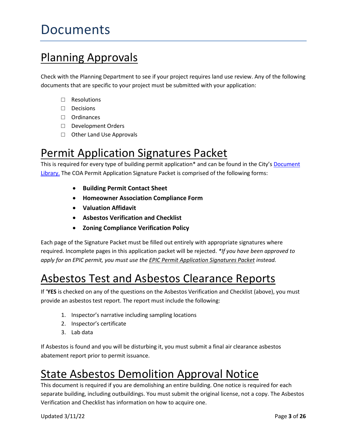# Documents

# Planning Approvals

Check with the Planning Department to see if your project requires land use review. Any of the following documents that are specific to your project must be submitted with your application:

- □ Resolutions
- □ Decisions
- □ Ordinances
- □ Development Orders
- □ Other Land Use Approvals

# Permit Application Signatures Packet

This is required for every type of building permit application\* and can be found in the City's Document [Library.](https://www.cityofaspen.com/1391/Document-and-Resource-Library) The COA Permit Application Signature Packet is comprised of the following forms:

- **Building Permit Contact Sheet**
- **Homeowner Association Compliance Form**
- **Valuation Affidavit**
- **Asbestos Verification and Checklist**
- **Zoning Compliance Verification Policy**

Each page of the Signature Packet must be filled out entirely with appropriate signatures where required. Incomplete pages in this application packet will be rejected. *\*If you have been approved to apply for an EPIC permit, you must use the EPIC Permit Application Signatures Packet instead.*

# Asbestos Test and Asbestos Clearance Reports

If '**YES** is checked on any of the questions on the Asbestos Verification and Checklist (above), you must provide an asbestos test report. The report must include the following:

- 1. Inspector's narrative including sampling locations
- 2. Inspector's certificate
- 3. Lab data

If Asbestos is found and you will be disturbing it, you must submit a final air clearance asbestos abatement report prior to permit issuance.

# State Asbestos Demolition Approval Notice

This document is required if you are demolishing an entire building. One notice is required for each separate building, including outbuildings. You must submit the original license, not a copy. The Asbestos Verification and Checklist has information on how to acquire one.

Updated 3/11/22 Page **3** of **26**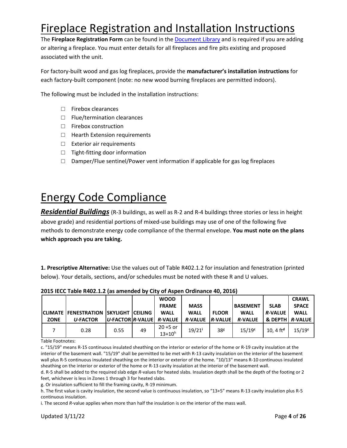# Fireplace Registration and Installation Instructions

The **Fireplace Registration Form** can be found in the [Document Library](https://www.cityofaspen.com/1391/Document-and-Resource-Library) and is required if you are adding or altering a fireplace. You must enter details for all fireplaces and fire pits existing and proposed associated with the unit.

For factory-built wood and gas log fireplaces, provide the **manufacturer's installation instructions** for each factory-built component (note: no new wood burning fireplaces are permitted indoors).

The following must be included in the installation instructions:

- □ Firebox clearances
- □ Flue/termination clearances
- □ Firebox construction
- □ Hearth Extension requirements
- □ Exterior air requirements
- □ Tight-fitting door information
- $\square$  Damper/Flue sentinel/Power vent information if applicable for gas log fireplaces

# Energy Code Compliance

*Residential Buildings* (R-3 buildings, as well as R-2 and R-4 buildings three stories or less in height above grade) and residential portions of mixed-use buildings may use of one of the following five methods to demonstrate energy code compliance of the thermal envelope. **You must note on the plans which approach you are taking.**

**1. Prescriptive Alternative:** Use the values out of Table R402.1.2 for insulation and fenestration (printed below). Your details, sections, and/or schedules must be noted with these R and U values.

|             |                                                                    |                                     |    | <b>WOOD</b><br><b>FRAME</b> | <b>MASS</b>                            |                 | <b>BASEMENT</b>               | <b>SLAB</b>                                  | <b>CRAWL</b><br><b>SPACE</b> |
|-------------|--------------------------------------------------------------------|-------------------------------------|----|-----------------------------|----------------------------------------|-----------------|-------------------------------|----------------------------------------------|------------------------------|
| <b>ZONE</b> | <b>ICLIMATE FENESTRATION ISKYLIGHT ICEILING</b><br><b>U-FACTOR</b> | $ U$ -FACTOR $ R$ -VALUE $R$ -VALUE |    | <b>WALL</b>                 | <b>WALL</b><br><b>R-VALUE R-VALUEL</b> | <b>FLOOR</b>    | <b>WALL</b><br><b>R-VALUE</b> | <b>R-VALUE</b><br><b>&amp; DEPTH R-VALUE</b> | <b>WALL</b>                  |
|             | 0.28                                                               | 0.55                                | 49 | $20 + 5$ or<br>$13+10^{h}$  | $19/21$ <sup>i</sup>                   | 38 <sup>g</sup> | $15/19^c$                     | 10.4 $ftd$                                   | $15/19^c$                    |

**2015 IECC Table R402.1.2 (as amended by City of Aspen Ordinance 40, 2016)**

Table Footnotes:

c. "15/19" means R-15 continuous insulated sheathing on the interior or exterior of the home or R-19 cavity insulation at the interior of the basement wall. "15/19" shall be permitted to be met with R-13 cavity insulation on the interior of the basement wall plus R-5 continuous insulated sheathing on the interior or exterior of the home. "10/13" means R-10 continuous insulated sheathing on the interior or exterior of the home or R-13 cavity insulation at the interior of the basement wall.

d. R-5 shall be added to the required slab edge *R*-values for heated slabs. Insulation depth shall be the depth of the footing or 2 feet, whichever is less in Zones 1 through 3 for heated slabs.

g. Or insulation sufficient to fill the framing cavity, R-19 minimum.

h. The first value is cavity insulation, the second value is continuous insulation, so "13+5" means R-13 cavity insulation plus R-5 continuous insulation.

i. The second *R*-value applies when more than half the insulation is on the interior of the mass wall.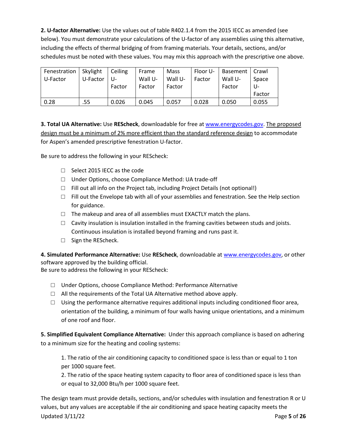**2. U-factor Alternative:** Use the values out of table R402.1.4 from the 2015 IECC as amended (see below). You must demonstrate your calculations of the U-factor of any assemblies using this alternative, including the effects of thermal bridging of from framing materials. Your details, sections, and/or schedules must be noted with these values. You may mix this approach with the prescriptive one above.

| Fenestration   Skylight |          | Ceiling | Frame   | Mass    | Floor U- | Basement | Crawl  |
|-------------------------|----------|---------|---------|---------|----------|----------|--------|
| l U-Factor              | U-Factor | U-      | Wall U- | Wall U- | Factor   | Wall U-  | Space  |
|                         |          | Factor  | Factor  | Factor  |          | Factor   | U-     |
|                         |          |         |         |         |          |          | Factor |
| 0.28                    | .55      | 0.026   | 0.045   | 0.057   | 0.028    | 0.050    | 0.055  |

**3. Total UA Alternative:** Use **REScheck**, downloadable for free at [www.energycodes.gov.](http://www.energycodes.gov/) The proposed design must be a minimum of 2% more efficient than the standard reference design to accommodate for Aspen's amended prescriptive fenestration U-factor.

Be sure to address the following in your REScheck:

- □ Select 2015 IECC as the code
- □ Under Options, choose Compliance Method: UA trade-off
- $\Box$  Fill out all info on the Project tab, including Project Details (not optional!)
- $\Box$  Fill out the Envelope tab with all of your assemblies and fenestration. See the Help section for guidance.
- $\Box$  The makeup and area of all assemblies must EXACTLY match the plans.
- $\Box$  Cavity insulation is insulation installed in the framing cavities between studs and joists. Continuous insulation is installed beyond framing and runs past it.
- □ Sign the REScheck.

**4. Simulated Performance Alternative:** Use **REScheck**, downloadable a[t www.energycodes.gov,](http://www.energycodes.gov/) or other software approved by the building official.

Be sure to address the following in your REScheck:

- □ Under Options, choose Compliance Method: Performance Alternative
- $\Box$  All the requirements of the Total UA Alternative method above apply.
- $\Box$  Using the performance alternative requires additional inputs including conditioned floor area, orientation of the building, a minimum of four walls having unique orientations, and a minimum of one roof and floor.

**5. Simplified Equivalent Compliance Alternative:** Under this approach compliance is based on adhering to a minimum size for the heating and cooling systems:

1. The ratio of the air conditioning capacity to conditioned space is less than or equal to 1 ton per 1000 square feet.

2. The ratio of the space heating system capacity to floor area of conditioned space is less than or equal to 32,000 Btu/h per 1000 square feet.

Updated 3/11/22 Page **5** of **26** The design team must provide details, sections, and/or schedules with insulation and fenestration R or U values, but any values are acceptable if the air conditioning and space heating capacity meets the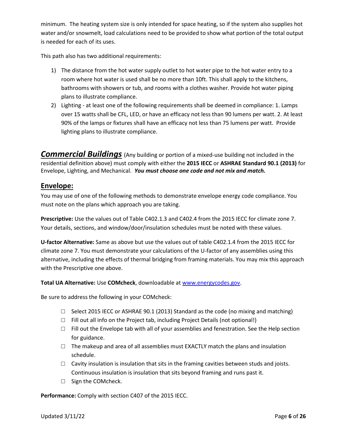minimum. The heating system size is only intended for space heating, so if the system also supplies hot water and/or snowmelt, load calculations need to be provided to show what portion of the total output is needed for each of its uses.

This path also has two additional requirements:

- 1) The distance from the hot water supply outlet to hot water pipe to the hot water entry to a room where hot water is used shall be no more than 10ft. This shall apply to the kitchens, bathrooms with showers or tub, and rooms with a clothes washer. Provide hot water piping plans to illustrate compliance.
- 2) Lighting at least one of the following requirements shall be deemed in compliance: 1. Lamps over 15 watts shall be CFL, LED, or have an efficacy not less than 90 lumens per watt. 2. At least 90% of the lamps or fixtures shall have an efficacy not less than 75 lumens per watt. Provide lighting plans to illustrate compliance.

*Commercial Buildings* (Any building or portion of a mixed-use building not included in the residential definition above) must comply with either the **2015 IECC** or **ASHRAE Standard 90.1 (2013)** for Envelope, Lighting, and Mechanical. *You must choose one code and not mix and match.*

#### **Envelope:**

You may use of one of the following methods to demonstrate envelope energy code compliance. You must note on the plans which approach you are taking.

**Prescriptive:** Use the values out of Table C402.1.3 and C402.4 from the 2015 IECC for climate zone 7. Your details, sections, and window/door/insulation schedules must be noted with these values.

**U-factor Alternative:** Same as above but use the values out of table C402.1.4 from the 2015 IECC for climate zone 7. You must demonstrate your calculations of the U-factor of any assemblies using this alternative, including the effects of thermal bridging from framing materials. You may mix this approach with the Prescriptive one above.

**Total UA Alternative:** Use **COMcheck**, downloadable at [www.energycodes.gov.](http://www.energycodes.gov/)

Be sure to address the following in your COMcheck:

- $\Box$  Select 2015 IECC or ASHRAE 90.1 (2013) Standard as the code (no mixing and matching)
- $\Box$  Fill out all info on the Project tab, including Project Details (not optional!)
- $\Box$  Fill out the Envelope tab with all of your assemblies and fenestration. See the Help section for guidance.
- $\Box$  The makeup and area of all assemblies must EXACTLY match the plans and insulation schedule.
- $\Box$  Cavity insulation is insulation that sits in the framing cavities between studs and joists. Continuous insulation is insulation that sits beyond framing and runs past it.
- □ Sign the COMcheck.

**Performance:** Comply with section C407 of the 2015 IECC.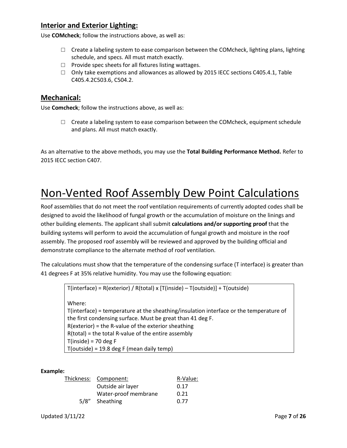#### **Interior and Exterior Lighting:**

Use **COMcheck**; follow the instructions above, as well as:

- $\Box$  Create a labeling system to ease comparison between the COMcheck, lighting plans, lighting schedule, and specs. All must match exactly.
- □ Provide spec sheets for all fixtures listing wattages.
- $\Box$  Only take exemptions and allowances as allowed by 2015 IECC sections C405.4.1, Table C405.4.2C503.6, C504.2.

#### **Mechanical:**

Use **Comcheck**; follow the instructions above, as well as:

 $\Box$  Create a labeling system to ease comparison between the COMcheck, equipment schedule and plans. All must match exactly.

As an alternative to the above methods, you may use the **Total Building Performance Method.** Refer to 2015 IECC section C407.

# Non-Vented Roof Assembly Dew Point Calculations

Roof assemblies that do not meet the roof ventilation requirements of currently adopted codes shall be designed to avoid the likelihood of fungal growth or the accumulation of moisture on the linings and other building elements. The applicant shall submit **calculations and/or supporting proof** that the building systems will perform to avoid the accumulation of fungal growth and moisture in the roof assembly. The proposed roof assembly will be reviewed and approved by the building official and demonstrate compliance to the alternate method of roof ventilation.

The calculations must show that the temperature of the condensing surface (T interface) is greater than 41 degrees F at 35% relative humidity. You may use the following equation:

```
T(interface) = R(exterior) / R(total) x [T(inside) – T(outside)] + T(outside)
Where:
T(interface) = temperature at the sheathing/insulation interface or the temperature of 
the first condensing surface. Must be great than 41 deg F.
R(exterior) = the R-value of the exterior sheathing
R(total) = the total R-value of the entire assembly
T(inside) = 70 deg FT(outside) = 19.8 deg F (mean daily temp)
```
#### **Example:**

| Thickness: Component: | R-Value: |
|-----------------------|----------|
| Outside air layer     | 0.17     |
| Water-proof membrane  | 0.21     |
| 5/8" Sheathing        | 0.77     |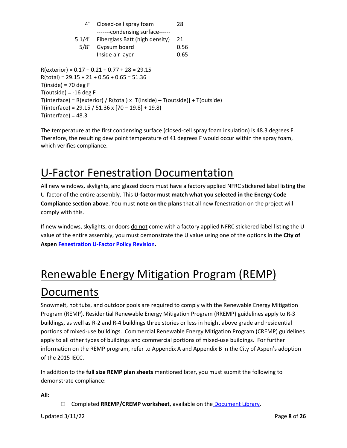| $4^{\prime\prime}$                            | Closed-cell spray foam<br>-------condensing surface------                       | 28   |
|-----------------------------------------------|---------------------------------------------------------------------------------|------|
|                                               | 5 1/4" Fiberglass Batt (high density)                                           | 21   |
|                                               | 5/8" Gypsum board                                                               | 0.56 |
|                                               | Inside air layer                                                                | 0.65 |
|                                               | $R(exterior) = 0.17 + 0.21 + 0.77 + 28 = 29.15$                                 |      |
| $R(total) = 29.15 + 21 + 0.56 + 0.65 = 51.36$ |                                                                                 |      |
| $T(inside) = 70 deg F$                        |                                                                                 |      |
| $T(outside) = -16 deg F$                      |                                                                                 |      |
|                                               | $T(interface) = R(exterior) / R(total) x [T(inside) - T(outside)] + T(outside)$ |      |
|                                               | T(interface) = 29.15 / 51.36 x $[70 - 19.8] + 19.8$ )                           |      |
| $T(interface) = 48.3$                         |                                                                                 |      |

The temperature at the first condensing surface (closed-cell spray foam insulation) is 48.3 degrees F. Therefore, the resulting dew point temperature of 41 degrees F would occur within the spray foam, which verifies compliance.

# U-Factor Fenestration Documentation

All new windows, skylights, and glazed doors must have a factory applied NFRC stickered label listing the U-factor of the entire assembly. This **U-factor must match what you selected in the Energy Code Compliance section above**. You must **note on the plans** that all new fenestration on the project will comply with this.

If new windows, skylights, or doors do not come with a factory applied NFRC stickered label listing the U value of the entire assembly, you must demonstrate the U value using one of the options in the **City of Aspen [Fenestration](https://www.cityofaspen.com/250/Policy-Manual) U-Factor Policy Revision.** 

# Renewable Energy Mitigation Program (REMP) Documents

Snowmelt, hot tubs, and outdoor pools are required to comply with the Renewable Energy Mitigation Program (REMP). Residential Renewable Energy Mitigation Program (RREMP) guidelines apply to R-3 buildings, as well as R-2 and R-4 buildings three stories or less in height above grade and residential portions of mixed-use buildings. Commercial Renewable Energy Mitigation Program (CREMP) guidelines apply to all other types of buildings and commercial portions of mixed-use buildings. For further information on the REMP program, refer to Appendix A and Appendix B in the City of Aspen's adoption of the 2015 IECC.

In addition to the **full size REMP plan sheets** mentioned later, you must submit the following to demonstrate compliance:

**All**:

□ Completed **RREMP/CREMP worksheet**, available on the [Document Library.](https://www.cityofaspen.com/1391/Document-and-Resource-Library)

Updated 3/11/22 Page **8** of **26**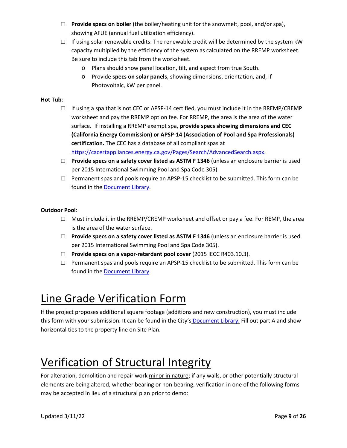- □ **Provide specs on boiler** (the boiler/heating unit for the snowmelt, pool, and/or spa), showing AFUE (annual fuel utilization efficiency).
- $\Box$  If using solar renewable credits: The renewable credit will be determined by the system kW capacity multiplied by the efficiency of the system as calculated on the RREMP worksheet. Be sure to include this tab from the worksheet.
	- o Plans should show panel location, tilt, and aspect from true South.
	- o Provide **specs on solar panels**, showing dimensions, orientation, and, if Photovoltaic, kW per panel.

#### **Hot Tub**:

- $\Box$  If using a spa that is not CEC or APSP-14 certified, you must include it in the RREMP/CREMP worksheet and pay the RREMP option fee. For RREMP, the area is the area of the water surface. If installing a RREMP exempt spa, **provide specs showing dimensions and CEC (California Energy Commission) or APSP-14 (Association of Pool and Spa Professionals) certification.** The CEC has a database of all compliant spas at [https://cacertappliances.energy.ca.gov/Pages/Search/AdvancedSearch.aspx.](https://cacertappliances.energy.ca.gov/Pages/Search/AdvancedSearch.aspx)
- □ **Provide specs on a safety cover listed as ASTM F 1346** (unless an enclosure barrier is used per 2015 International Swimming Pool and Spa Code 305)
- $\Box$  Permanent spas and pools require an APSP-15 checklist to be submitted. This form can be found in the [Document Library.](https://www.cityofaspen.com/1391/Document-and-Resource-Library)

#### **Outdoor Pool**:

- $\Box$  Must include it in the RREMP/CREMP worksheet and offset or pay a fee. For REMP, the area is the area of the water surface.
- □ **Provide specs on a safety cover listed as ASTM F 1346** (unless an enclosure barrier is used per 2015 International Swimming Pool and Spa Code 305).
- □ **Provide specs on a vapor-retardant pool cover** (2015 IECC R403.10.3).
- $\square$  Permanent spas and pools require an APSP-15 checklist to be submitted. This form can be found in the [Document Library.](https://www.cityofaspen.com/1391/Document-and-Resource-Library)

# Line Grade Verification Form

If the project proposes additional square footage (additions and new construction), you must include this form with your submission. It can be found in the City's [Document Library.](https://www.cityofaspen.com/1391/Document-and-Resource-Library) Fill out part A and show horizontal ties to the property line on Site Plan.

# Verification of Structural Integrity

For alteration, demolition and repair work minor in nature; if any walls, or other potentially structural elements are being altered, whether bearing or non-bearing, verification in one of the following forms may be accepted in lieu of a structural plan prior to demo: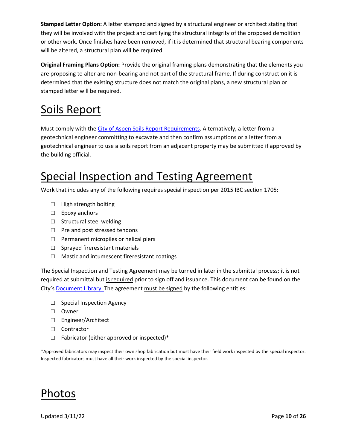**Stamped Letter Option:** A letter stamped and signed by a structural engineer or architect stating that they will be involved with the project and certifying the structural integrity of the proposed demolition or other work. Once finishes have been removed, if it is determined that structural bearing components will be altered, a structural plan will be required.

**Original Framing Plans Option:** Provide the original framing plans demonstrating that the elements you are proposing to alter are non-bearing and not part of the structural frame. If during construction it is determined that the existing structure does not match the original plans, a new structural plan or stamped letter will be required.

# Soils Report

Must comply with th[e City of Aspen Soils Report Requirements.](https://www.cityofaspen.com/DocumentCenter/View/514/Soils-Report-PDF) Alternatively, a letter from a geotechnical engineer committing to excavate and then confirm assumptions or a letter from a geotechnical engineer to use a soils report from an adjacent property may be submitted if approved by the building official.

# Special Inspection and Testing Agreement

Work that includes any of the following requires special inspection per 2015 IBC section 1705:

- □ High strength bolting
- $\Box$  Epoxy anchors
- □ Structural steel welding
- □ Pre and post stressed tendons
- □ Permanent micropiles or helical piers
- $\Box$  Sprayed fireresistant materials
- □ Mastic and intumescent fireresistant coatings

The Special Inspection and Testing Agreement may be turned in later in the submittal process; it is not required at submittal but is required prior to sign off and issuance. This document can be found on the City'[s Document Library.](https://www.cityofaspen.com/1391/Document-and-Resource-Library) The agreement must be signed by the following entities:

- □ Special Inspection Agency
- □ Owner
- □ Engineer/Architect
- □ Contractor
- $\Box$  Fabricator (either approved or inspected)\*

\*Approved fabricators may inspect their own shop fabrication but must have their field work inspected by the special inspector. Inspected fabricators must have all their work inspected by the special inspector.



Updated 3/11/22 Page **10** of **26**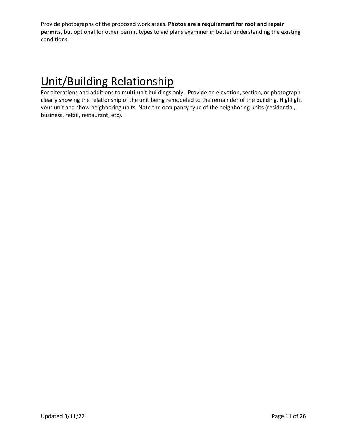Provide photographs of the proposed work areas. **Photos are a requirement for roof and repair permits,** but optional for other permit types to aid plans examiner in better understanding the existing conditions.

# Unit/Building Relationship

For alterations and additions to multi-unit buildings only. Provide an elevation, section, or photograph clearly showing the relationship of the unit being remodeled to the remainder of the building. Highlight your unit and show neighboring units. Note the occupancy type of the neighboring units (residential, business, retail, restaurant, etc).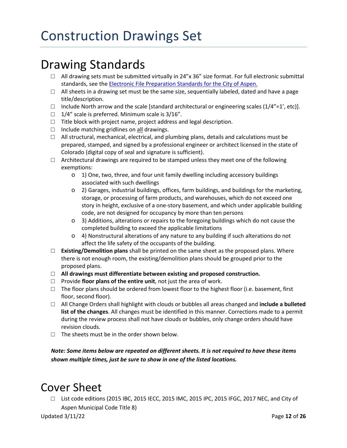# Drawing Standards

- $\Box$  All drawing sets must be submitted virtually in 24"x 36" size format. For full electronic submittal standards, see the **Electronic File Preparation Standards for the City of Aspen.**
- $\Box$  All sheets in a drawing set must be the same size, sequentially labeled, dated and have a page title/description.
- $\Box$  Include North arrow and the scale [standard architectural or engineering scales (1/4"=1', etc)].
- $\Box$  1/4" scale is preferred. Minimum scale is 3/16".
- $\Box$  Title block with project name, project address and legal description.
- $\Box$  Include matching gridlines on all drawings.
- $\Box$  All structural, mechanical, electrical, and plumbing plans, details and calculations must be prepared, stamped, and signed by a professional engineer or architect licensed in the state of Colorado (digital copy of seal and signature is sufficient).
- $\Box$  Architectural drawings are required to be stamped unless they meet one of the following exemptions:
	- o 1) One, two, three, and four unit family dwelling including accessory buildings associated with such dwellings
	- o 2) Garages, industrial buildings, offices, farm buildings, and buildings for the marketing, storage, or processing of farm products, and warehouses, which do not exceed one story in height, exclusive of a one-story basement, and which under applicable building code, are not designed for occupancy by more than ten persons
	- o 3) Additions, alterations or repairs to the foregoing buildings which do not cause the completed building to exceed the applicable limitations
	- o 4) Nonstructural alterations of any nature to any building if such alterations do not affect the life safety of the occupants of the building.
- □ **Existing/Demolition plans** shall be printed on the same sheet as the proposed plans. Where there is not enough room, the existing/demolition plans should be grouped prior to the proposed plans.
- □ **All drawings must differentiate between existing and proposed construction.**
- □ Provide **floor plans of the entire unit**, not just the area of work.
- $\Box$  The floor plans should be ordered from lowest floor to the highest floor (i.e. basement, first floor, second floor).
- □ All Change Orders shall highlight with clouds or bubbles all areas changed and **include a bulleted list of the changes**. All changes must be identified in this manner. Corrections made to a permit during the review process shall not have clouds or bubbles, only change orders should have revision clouds.
- $\Box$  The sheets must be in the order shown below.

*Note: Some items below are repeated on different sheets. It is not required to have these items shown multiple times, just be sure to show in one of the listed locations.*

### Cover Sheet

 $\Box$  List code editions (2015 IBC, 2015 IECC, 2015 IMC, 2015 IPC, 2015 IFGC, 2017 NEC, and City of Aspen Municipal Code Title 8)

Updated 3/11/22 Page **12** of **26**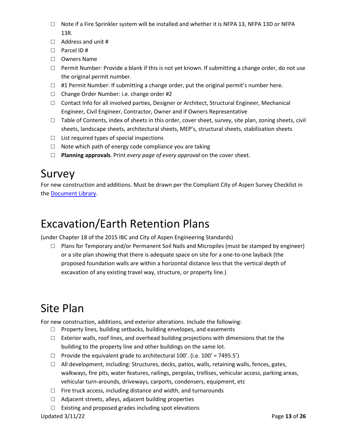- $\Box$  Note if a Fire Sprinkler system will be installed and whether it is NFPA 13, NFPA 13D or NFPA 13R.
- □ Address and unit #
- □ Parcel ID #
- □ Owners Name
- □ Permit Number: Provide a blank if this is not yet known. If submitting a change order, do not use the original permit number.
- $\Box$  #1 Permit Number: If submitting a change order, put the original permit's number here.
- □ Change Order Number: i.e. change order #2
- $\Box$  Contact Info for all involved parties, Designer or Architect, Structural Engineer, Mechanical Engineer, Civil Engineer, Contractor, Owner and if Owners Representative
- $\Box$  Table of Contents, index of sheets in this order, cover sheet, survey, site plan, zoning sheets, civil sheets, landscape sheets, architectural sheets, MEP's, structural sheets, stabilization sheets
- $\Box$  List required types of special inspections
- $\Box$  Note which path of energy code compliance you are taking
- □ **Planning approvals**. Print *every page of every approval* on the cover sheet.

### Survey

For new construction and additions. Must be drawn per the Compliant City of Aspen Survey Checklist in the [Document Library.](https://www.cityofaspen.com/1391/Document-and-Resource-Library)

### Excavation/Earth Retention Plans

(under Chapter 18 of the 2015 IBC and City of Aspen Engineering Standards)

 $\Box$  Plans for Temporary and/or Permanent Soil Nails and Micropiles (must be stamped by engineer) or a site plan showing that there is adequate space on site for a one-to-one layback (the proposed foundation walls are within a horizontal distance less that the vertical depth of excavation of any existing travel way, structure, or property line.)

# Site Plan

For new construction, additions, and exterior alterations. Include the following:

- □ Property lines, building setbacks, building envelopes, and easements
- $\Box$  Exterior walls, roof lines, and overhead building projections with dimensions that tie the building to the property line and other buildings on the same lot.
- $\Box$  Provide the equivalent grade to architectural 100'. (i.e. 100' = 7495.5')
- $\Box$  All development, including: Structures, decks, patios, walls, retaining walls, fences, gates, walkways, fire pits, water features, railings, pergolas, trellises, vehicular access, parking areas, vehicular turn-arounds, driveways, carports, condensers, equipment, etc
- $\Box$  Fire truck access, including distance and width, and turnarounds
- □ Adjacent streets, alleys, adjacent building properties
- $\Box$  Existing and proposed grades including spot elevations

Updated 3/11/22 Page **13** of **26**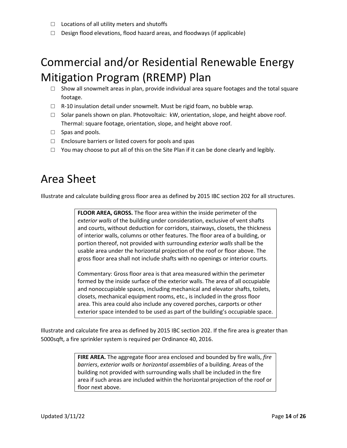- $\Box$  Locations of all utility meters and shutoffs
- □ Design flood elevations, flood hazard areas, and floodways (if applicable)

# Commercial and/or Residential Renewable Energy Mitigation Program (RREMP) Plan

- □ Show all snowmelt areas in plan, provide individual area square footages and the total square footage.
- □ R-10 insulation detail under snowmelt. Must be rigid foam, no bubble wrap.
- $\Box$  Solar panels shown on plan. Photovoltaic: kW, orientation, slope, and height above roof. Thermal: square footage, orientation, slope, and height above roof.
- $\Box$  Spas and pools.
- $\Box$  Enclosure barriers or listed covers for pools and spas
- $\Box$  You may choose to put all of this on the Site Plan if it can be done clearly and legibly.

### Area Sheet

Illustrate and calculate building gross floor area as defined by 2015 IBC section 202 for all structures.

**FLOOR AREA, GROSS.** The floor area within the inside perimeter of the *exterior walls* of the building under consideration, exclusive of vent shafts and courts, without deduction for corridors, stairways, closets, the thickness of interior walls, columns or other features. The floor area of a building, or portion thereof, not provided with surrounding *exterior walls* shall be the usable area under the horizontal projection of the roof or floor above. The gross floor area shall not include shafts with no openings or interior courts.

Commentary: Gross floor area is that area measured within the perimeter formed by the inside surface of the exterior walls. The area of all occupiable and nonoccupiable spaces, including mechanical and elevator shafts, toilets, closets, mechanical equipment rooms, etc., is included in the gross floor area. This area could also include any covered porches, carports or other exterior space intended to be used as part of the building's occupiable space.

Illustrate and calculate fire area as defined by 2015 IBC section 202. If the fire area is greater than 5000sqft, a fire sprinkler system is required per Ordinance 40, 2016.

> **FIRE AREA.** The aggregate floor area enclosed and bounded by fire walls, *fire barriers*, *exterior walls* or *horizontal assemblies* of a building. Areas of the building not provided with surrounding walls shall be included in the fire area if such areas are included within the horizontal projection of the roof or floor next above.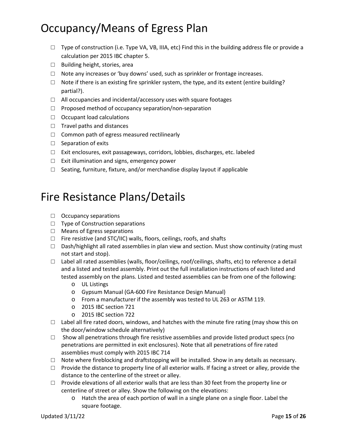# Occupancy/Means of Egress Plan

- $\Box$  Type of construction (i.e. Type VA, VB, IIIA, etc) Find this in the building address file or provide a calculation per 2015 IBC chapter 5.
- □ Building height, stories, area
- $\Box$  Note any increases or 'buy downs' used, such as sprinkler or frontage increases.
- $\Box$  Note if there is an existing fire sprinkler system, the type, and its extent (entire building? partial?).
- $\Box$  All occupancies and incidental/accessory uses with square footages
- $\square$  Proposed method of occupancy separation/non-separation
- □ Occupant load calculations
- □ Travel paths and distances
- $\Box$  Common path of egress measured rectilinearly
- □ Separation of exits
- □ Exit enclosures, exit passageways, corridors, lobbies, discharges, etc. labeled
- □ Exit illumination and signs, emergency power
- $\Box$  Seating, furniture, fixture, and/or merchandise display layout if applicable

### Fire Resistance Plans/Details

- $\Box$  Occupancy separations
- □ Type of Construction separations
- □ Means of Egress separations
- □ Fire resistive (and STC/IIC) walls, floors, ceilings, roofs, and shafts
- $\Box$  Dash/highlight all rated assemblies in plan view and section. Must show continuity (rating must not start and stop).
- $\Box$  Label all rated assemblies (walls, floor/ceilings, roof/ceilings, shafts, etc) to reference a detail and a listed and tested assembly. Print out the full installation instructions of each listed and tested assembly on the plans. Listed and tested assemblies can be from one of the following:
	- o UL Listings
	- o Gypsum Manual (GA-600 Fire Resistance Design Manual)
	- o From a manufacturer if the assembly was tested to UL 263 or ASTM 119.
	- o 2015 IBC section 721
	- o 2015 IBC section 722
- $\Box$  Label all fire rated doors, windows, and hatches with the minute fire rating (may show this on the door/window schedule alternatively)
- $\Box$  Show all penetrations through fire resistive assemblies and provide listed product specs (no penetrations are permitted in exit enclosures). Note that all penetrations of fire rated assemblies must comply with 2015 IBC 714
- $\Box$  Note where fireblocking and draftstopping will be installed. Show in any details as necessary.
- $\Box$  Provide the distance to property line of all exterior walls. If facing a street or alley, provide the distance to the centerline of the street or alley.
- $\Box$  Provide elevations of all exterior walls that are less than 30 feet from the property line or centerline of street or alley. Show the following on the elevations:
	- o Hatch the area of each portion of wall in a single plane on a single floor. Label the square footage.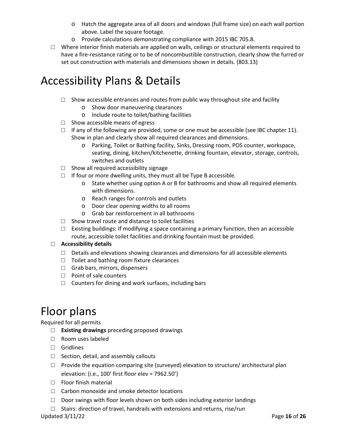- o Hatch the aggregate area of all doors and windows (full frame size) on each wall portion above. Label the square footage.
- o Provide calculations demonstrating compliance with 2015 IBC 705.8.
- $\Box$  Where interior finish materials are applied on walls, ceilings or structural elements required to have a fire-resistance rating or to be of noncombustible construction, clearly show the furred or set out construction with materials and dimensions shown in details. (803.13)

### Accessibility Plans & Details

- $\square$  Show accessible entrances and routes from public way throughout site and facility
	- o Show door maneuvering clearances
	- o Include route to toilet/bathing facilities
- $\Box$  Show accessible means of egress
- $\Box$  If any of the following are provided, some or one must be accessible (see IBC chapter 11). Show in plan and clearly show all required clearances and dimensions.
	- o Parking, Toilet or Bathing facility, Sinks, Dressing room, POS counter, workspace, seating, dining, kitchen/kitchenette, drinking fountain, elevator, storage, controls, switches and outlets
- $\Box$  Show all required accessibility signage
- $\Box$  If four or more dwelling units, they must all be Type B accessible.
	- o State whether using option A or B for bathrooms and show all required elements with dimensions.
	- o Reach ranges for controls and outlets
	- o Door clear opening widths to all rooms
	- o Grab bar reinforcement in all bathrooms
- $\Box$  Show travel route and distance to toilet facilities
- $\Box$  Existing buildings: If modifying a space containing a primary function, then an accessible route, accessible toilet facilities and drinking fountain must be provided.

#### □ **Accessibility details**

- $\Box$  Details and elevations showing clearances and dimensions for all accessible elements
- □ Toilet and bathing room fixture clearances
- □ Grab bars, mirrors, dispensers
- □ Point of sale counters
- $\Box$  Counters for dining and work surfaces, including bars

# Floor plans

Required for all permits

- □ **Existing drawings** preceding proposed drawings
- □ Room uses labeled
- □ Gridlines
- $\Box$  Section, detail, and assembly callouts
- $\Box$  Provide the equation comparing site (surveyed) elevation to structure/ architectural plan elevation: (i.e., 100' first floor elev = 7962.50')
- □ Floor finish material
- □ Carbon monoxide and smoke detector locations
- □ Door swings with floor levels shown on both sides including exterior landings
- $\Box$  Stairs: direction of travel, handrails with extensions and returns, rise/run

Updated 3/11/22 Page **16** of **26**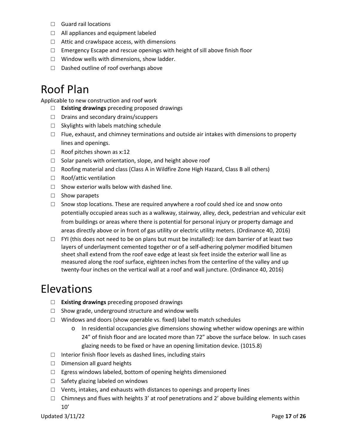- □ Guard rail locations
- □ All appliances and equipment labeled
- $\Box$  Attic and crawlspace access, with dimensions
- $\Box$  Emergency Escape and rescue openings with height of sill above finish floor
- □ Window wells with dimensions, show ladder.
- □ Dashed outline of roof overhangs above

### Roof Plan

Applicable to new construction and roof work

- □ **Existing drawings** preceding proposed drawings
- □ Drains and secondary drains/scuppers
- $\Box$  Skylights with labels matching schedule
- $\square$  Flue, exhaust, and chimney terminations and outside air intakes with dimensions to property lines and openings.
- □ Roof pitches shown as x:12
- $\Box$  Solar panels with orientation, slope, and height above roof
- $\Box$  Roofing material and class (Class A in Wildfire Zone High Hazard, Class B all others)
- □ Roof/attic ventilation
- $\Box$  Show exterior walls below with dashed line.
- □ Show parapets
- $\Box$  Snow stop locations. These are required anywhere a roof could shed ice and snow onto potentially occupied areas such as a walkway, stairway, alley, deck, pedestrian and vehicular exit from buildings or areas where there is potential for personal injury or property damage and areas directly above or in front of gas utility or electric utility meters. (Ordinance 40, 2016)
- $\Box$  FYI (this does not need to be on plans but must be installed): Ice dam barrier of at least two layers of underlayment cemented together or of a self-adhering polymer modified bitumen sheet shall extend from the roof eave edge at least six feet inside the exterior wall line as measured along the roof surface, eighteen inches from the centerline of the valley and up twenty-four inches on the vertical wall at a roof and wall juncture. (Ordinance 40, 2016)

### Elevations

- □ **Existing drawings** preceding proposed drawings
- $\Box$  Show grade, underground structure and window wells
- $\square$  Windows and doors (show operable vs. fixed) label to match schedules
	- $\circ$  In residential occupancies give dimensions showing whether widow openings are within 24" of finish floor and are located more than 72" above the surface below. In such cases glazing needs to be fixed or have an opening limitation device. (1015.8)
- $\square$  Interior finish floor levels as dashed lines, including stairs
- □ Dimension all guard heights
- □ Egress windows labeled, bottom of opening heights dimensioned
- □ Safety glazing labeled on windows
- $\Box$  Vents, intakes, and exhausts with distances to openings and property lines
- $\Box$  Chimneys and flues with heights 3' at roof penetrations and 2' above building elements within 10'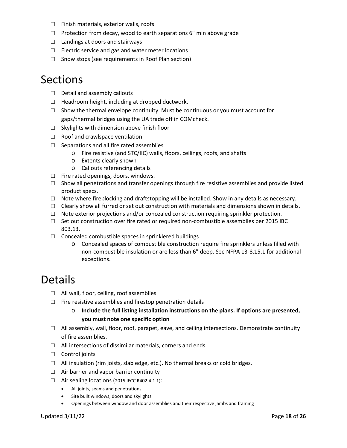- □ Finish materials, exterior walls, roofs
- $\Box$  Protection from decay, wood to earth separations 6" min above grade
- $\Box$  Landings at doors and stairways
- $\Box$  Electric service and gas and water meter locations
- □ Snow stops (see requirements in Roof Plan section)

### Sections

- □ Detail and assembly callouts
- $\Box$  Headroom height, including at dropped ductwork.
- $\Box$  Show the thermal envelope continuity. Must be continuous or you must account for gaps/thermal bridges using the UA trade off in COMcheck.
- $\Box$  Skylights with dimension above finish floor
- □ Roof and crawlspace ventilation
- □ Separations and all fire rated assemblies
	- o Fire resistive (and STC/IIC) walls, floors, ceilings, roofs, and shafts
	- o Extents clearly shown
	- o Callouts referencing details
- □ Fire rated openings, doors, windows.
- $\Box$  Show all penetrations and transfer openings through fire resistive assemblies and provide listed product specs.
- $\Box$  Note where fireblocking and draftstopping will be installed. Show in any details as necessary.
- $\Box$  Clearly show all furred or set out construction with materials and dimensions shown in details.
- $\Box$  Note exterior projections and/or concealed construction requiring sprinkler protection.
- $\Box$  Set out construction over fire rated or required non-combustible assemblies per 2015 IBC 803.13.
- $\Box$  Concealed combustible spaces in sprinklered buildings
	- o Concealed spaces of combustible construction require fire sprinklers unless filled with non-combustible insulation or are less than 6" deep. See NFPA 13-8.15.1 for additional exceptions.

### Details

- □ All wall, floor, ceiling, roof assemblies
- $\square$  Fire resistive assemblies and firestop penetration details
	- o **Include the full listing installation instructions on the plans. If options are presented, you must note one specific option**
- $\Box$  All assembly, wall, floor, roof, parapet, eave, and ceiling intersections. Demonstrate continuity of fire assemblies.
- □ All intersections of dissimilar materials, corners and ends
- □ Control joints
- $\Box$  All insulation (rim joists, slab edge, etc.). No thermal breaks or cold bridges.
- $\Box$  Air barrier and vapor barrier continuity
- $\Box$  Air sealing locations (2015 IECC R402.4.1.1):
	- All joints, seams and penetrations
	- Site built windows, doors and skylights
	- Openings between window and door assemblies and their respective jambs and framing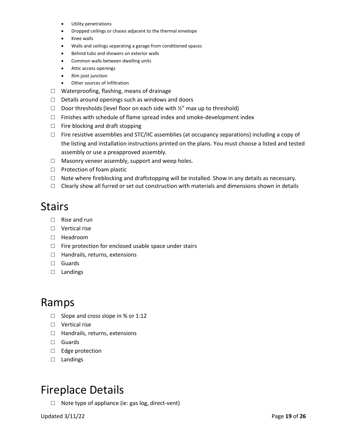- Utility penetrations
- Dropped ceilings or chases adjacent to the thermal envelope
- Knee walls
- Walls and ceilings separating a garage from conditioned spaces
- Behind tubs and showers on exterior walls
- Common walls between dwelling units
- Attic access openings
- Rim joist junction
- Other sources of infiltration
- □ Waterproofing, flashing, means of drainage
- $\Box$  Details around openings such as windows and doors
- $\Box$  Door thresholds (level floor on each side with  $\frac{1}{2}$ " max up to threshold)
- $\square$  Finishes with schedule of flame spread index and smoke-development index
- $\Box$  Fire blocking and draft stopping
- $\square$  Fire resistive assemblies and STC/IIC assemblies (at occupancy separations) including a copy of the listing and installation instructions printed on the plans. You must choose a listed and tested assembly or use a preapproved assembly.
- $\Box$  Masonry veneer assembly, support and weep holes.
- □ Protection of foam plastic
- $\Box$  Note where fireblocking and draftstopping will be installed. Show in any details as necessary.
- $\Box$  Clearly show all furred or set out construction with materials and dimensions shown in details

### **Stairs**

- □ Rise and run
- □ Vertical rise
- □ Headroom
- $\square$  Fire protection for enclosed usable space under stairs
- □ Handrails, returns, extensions
- □ Guards
- □ Landings

### Ramps

- □ Slope and cross slope in % or 1:12
- □ Vertical rise
- □ Handrails, returns, extensions
- □ Guards
- □ Edge protection
- □ Landings

### Fireplace Details

□ Note type of appliance (ie: gas log, direct-vent)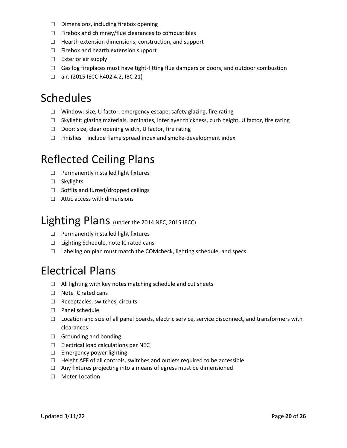- □ Dimensions, including firebox opening
- $\Box$  Firebox and chimney/flue clearances to combustibles
- $\Box$  Hearth extension dimensions, construction, and support
- □ Firebox and hearth extension support
- □ Exterior air supply
- $\Box$  Gas log fireplaces must have tight-fitting flue dampers or doors, and outdoor combustion
- □ air. (2015 IECC R402.4.2, IBC 21)

### Schedules

- □ Window: size, U factor, emergency escape, safety glazing, fire rating
- $\Box$  Skylight: glazing materials, laminates, interlayer thickness, curb height, U factor, fire rating
- □ Door: size, clear opening width, U factor, fire rating
- $\Box$  Finishes include flame spread index and smoke-development index

### Reflected Ceiling Plans

- □ Permanently installed light fixtures
- □ Skylights
- □ Soffits and furred/dropped ceilings
- □ Attic access with dimensions

### Lighting Plans (under the 2014 NEC, 2015 IECC)

- $\Box$  Permanently installed light fixtures
- □ Lighting Schedule, note IC rated cans
- □ Labeling on plan must match the COMcheck, lighting schedule, and specs.

### Electrical Plans

- □ All lighting with key notes matching schedule and cut sheets
- □ Note IC rated cans
- □ Receptacles, switches, circuits
- □ Panel schedule
- $\Box$  Location and size of all panel boards, electric service, service disconnect, and transformers with clearances
- $\Box$  Grounding and bonding
- □ Electrical load calculations per NEC
- □ Emergency power lighting
- □ Height AFF of all controls, switches and outlets required to be accessible
- $\Box$  Any fixtures projecting into a means of egress must be dimensioned
- □ Meter Location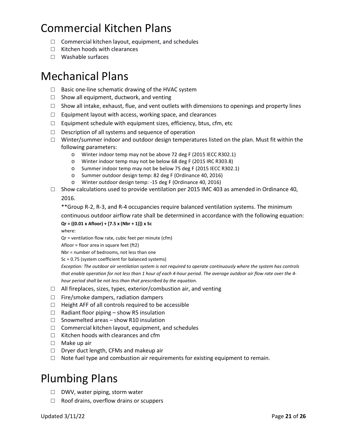# Commercial Kitchen Plans

- $\Box$  Commercial kitchen layout, equipment, and schedules
- □ Kitchen hoods with clearances
- □ Washable surfaces

### Mechanical Plans

- $\Box$  Basic one-line schematic drawing of the HVAC system
- $\Box$  Show all equipment, ductwork, and venting
- $\Box$  Show all intake, exhaust, flue, and vent outlets with dimensions to openings and property lines
- $\Box$  Equipment layout with access, working space, and clearances
- $\Box$  Equipment schedule with equipment sizes, efficiency, btus, cfm, etc
- $\Box$  Description of all systems and sequence of operation
- $\Box$  Winter/summer indoor and outdoor design temperatures listed on the plan. Must fit within the following parameters:
	- o Winter indoor temp may not be above 72 deg F (2015 IECC R302.1)
	- o Winter indoor temp may not be below 68 deg F (2015 IRC R303.8)
	- o Summer indoor temp may not be below 75 deg F (2015 IECC R302.1)
	- o Summer outdoor design temp: 82 deg F (Ordinance 40, 2016)
	- o Winter outdoor design temp: -15 deg F (Ordinance 40, 2016)
- □ Show calculations used to provide ventilation per 2015 IMC 403 as amended in Ordinance 40,

2016.

\*\*Group R-2, R-3, and R-4 occupancies require balanced ventilation systems. The minimum

continuous outdoor airflow rate shall be determined in accordance with the following equation: **Qr = ((0.01 x Afloor) + [7.5 x (Nbr + 1)]) x Sc** 

where:

Qr = ventilation flow rate, cubic feet per minute (cfm)

Afloor = floor area in square feet (ft2)

Nbr = number of bedrooms, not less than one

Sc = 0.75 (system coefficient for balanced systems)

*Exception: The outdoor air ventilation system is not required to operate continuously where the system has controls that enable operation for not less than 1 hour of each 4-hour period. The average outdoor air flow rate over the 4 hour period shall be not less than that prescribed by the equation.* 

- $\Box$  All fireplaces, sizes, types, exterior/combustion air, and venting
- $\Box$  Fire/smoke dampers, radiation dampers
- □ Height AFF of all controls required to be accessible
- $\Box$  Radiant floor piping show R5 insulation
- $\square$  Snowmelted areas show R10 insulation
- $\Box$  Commercial kitchen layout, equipment, and schedules
- □ Kitchen hoods with clearances and cfm
- □ Make up air
- □ Dryer duct length, CFMs and makeup air
- $\Box$  Note fuel type and combustion air requirements for existing equipment to remain.

### Plumbing Plans

- □ DWV, water piping, storm water
- $\Box$  Roof drains, overflow drains or scuppers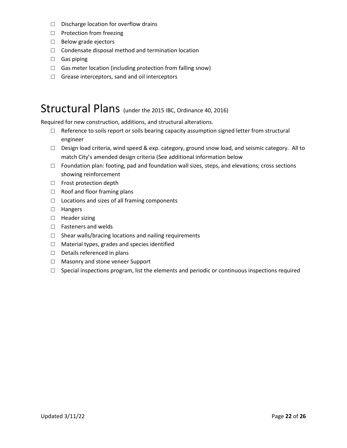- □ Discharge location for overflow drains
- □ Protection from freezing
- □ Below grade ejectors
- □ Condensate disposal method and termination location
- □ Gas piping
- $\Box$  Gas meter location (including protection from falling snow)
- $\Box$  Grease interceptors, sand and oil interceptors

### Structural Plans (under the 2015 IBC, Ordinance 40, 2016)

Required for new construction, additions, and structural alterations.

- □ Reference to soils report or soils bearing capacity assumption signed letter from structural engineer
- $\Box$  Design load criteria, wind speed & exp. category, ground snow load, and seismic category. All to match City's amended design criteria (See additional information below
- $\Box$  Foundation plan: footing, pad and foundation wall sizes, steps, and elevations; cross sections showing reinforcement
- □ Frost protection depth
- □ Roof and floor framing plans
- $\Box$  Locations and sizes of all framing components
- □ Hangers
- □ Header sizing
- □ Fasteners and welds
- $\Box$  Shear walls/bracing locations and nailing requirements
- □ Material types, grades and species identified
- □ Details referenced in plans
- □ Masonry and stone veneer Support
- $\Box$  Special inspections program, list the elements and periodic or continuous inspections required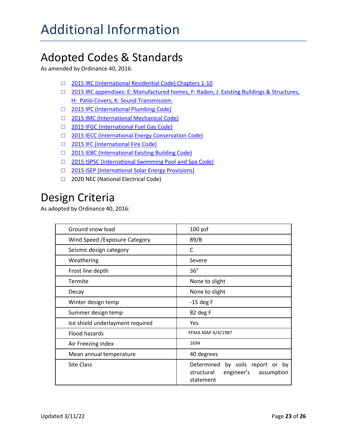# Adopted Codes & Standards

As amended by Ordinance 40, 2016:

- □ 2015 IRC (International Residential Code) Chapters 1-10
- □ [2015 IRC appendixes: E: Manufactured homes, F: Radon, J: Existing Buildings & Structures,](https://www.cityofaspen.com/197/Building-Energy-Codes)  [H: Patio Covers, K: Sound Transmission.](https://www.cityofaspen.com/197/Building-Energy-Codes)
- □ [2015 IPC \(International Plumbing Code\)](https://www.cityofaspen.com/197/Building-Energy-Codes)
- □ [2015 IMC \(International Mechanical Code\)](https://www.cityofaspen.com/197/Building-Energy-Codes)
- □ [2015 IFGC \(International Fuel Gas Code\)](https://www.cityofaspen.com/197/Building-Energy-Codes)
- □ [2015 IECC \(International Energy Conservation Code\)](https://www.cityofaspen.com/197/Building-Energy-Codes)
- □ [2015 IFC \(International Fire Code\)](https://www.cityofaspen.com/197/Building-Energy-Codes)
- □ [2015 IEBC \(International Existing Building Code\)](https://www.cityofaspen.com/197/Building-Energy-Codes)
- □ [2015 ISPSC \(International Swimming Pool and Spa Code\)](https://www.cityofaspen.com/197/Building-Energy-Codes)
- □ [2015 ISEP \(International Solar Energy Provisions\)](https://www.cityofaspen.com/197/Building-Energy-Codes)
- □ 2020 NEC (National Electrical Code)

### Design Criteria

As adopted by Ordinance 40, 2016:

| Ground snow load                 | $100$ psf                                                                                  |
|----------------------------------|--------------------------------------------------------------------------------------------|
| Wind Speed / Exposure Category   | 89/B                                                                                       |
| Seismic design category          | C                                                                                          |
| Weathering                       | Severe                                                                                     |
| Frost line depth                 | 36"                                                                                        |
| Termite                          | None to slight                                                                             |
| Decay                            | None to slight                                                                             |
| Winter design temp               | $-15$ deg F                                                                                |
| Summer design temp               | 82 deg F                                                                                   |
| Ice shield underlayment required | Yes                                                                                        |
| Flood hazards                    | FEMA MAP 6/4/1987                                                                          |
| Air Freezing index               | 1694                                                                                       |
| Mean annual temperature          | 40 degrees                                                                                 |
| <b>Site Class</b>                | Determined<br>by soils report or by<br>engineer's<br>structural<br>assumption<br>statement |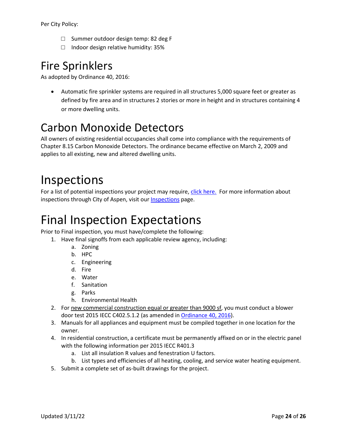Per City Policy:

- □ Summer outdoor design temp: 82 deg F
- □ Indoor design relative humidity: 35%

# Fire Sprinklers

As adopted by Ordinance 40, 2016:

• Automatic fire sprinkler systems are required in all structures 5,000 square feet or greater as defined by fire area and in structures 2 stories or more in height and in structures containing 4 or more dwelling units.

# Carbon Monoxide Detectors

All owners of existing residential occupancies shall come into compliance with the requirements of Chapter 8.15 Carbon Monoxide Detectors. The ordinance became effective on March 2, 2009 and applies to all existing, new and altered dwelling units.

# Inspections

For a list of potential inspections your project may require, *click here.* For more information about inspections through City of Aspen, visit our [Inspections](https://www.cityofaspen.com/227/Inspections) page.

# Final Inspection Expectations

Prior to Final inspection, you must have/complete the following:

- 1. Have final signoffs from each applicable review agency, including:
	- a. Zoning
	- b. HPC
	- c. Engineering
	- d. Fire
	- e. Water
	- f. Sanitation
	- g. Parks
	- h. Environmental Health
- 2. For new commercial construction equal or greater than 9000 sf, you must conduct a blower door test 2015 IECC C402.5.1.2 (as amended i[n Ordinance 40, 2016\)](https://library.municode.com/co/aspen/codes/municipal_code?nodeId=COORASCO).
- 3. Manuals for all appliances and equipment must be compiled together in one location for the owner.
- 4. In residential construction, a certificate must be permanently affixed on or in the electric panel with the following information per 2015 IECC R401.3
	- a. List all insulation R values and fenestration U factors.
	- b. List types and efficiencies of all heating, cooling, and service water heating equipment.
- 5. Submit a complete set of as-built drawings for the project.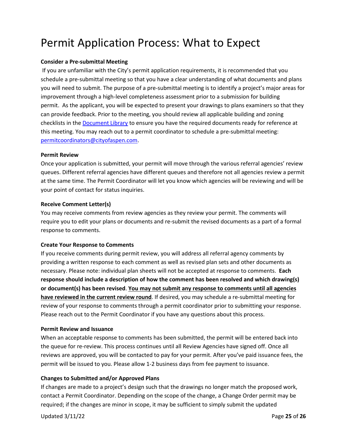# Permit Application Process: What to Expect

#### **Consider a Pre-submittal Meeting**

If you are unfamiliar with the City's permit application requirements, it is recommended that you schedule a pre-submittal meeting so that you have a clear understanding of what documents and plans you will need to submit. The purpose of a pre-submittal meeting is to identify a project's major areas for improvement through a high-level completeness assessment prior to a submission for building permit. As the applicant, you will be expected to present your drawings to plans examiners so that they can provide feedback. Prior to the meeting, you should review all applicable building and zoning checklists in th[e Document Library](https://www.cityofaspen.com/1391/Document-and-Resource-Library) to ensure you have the required documents ready for reference at this meeting. You may reach out to a permit coordinator to schedule a pre-submittal meeting: [permitcoordinators@cityofaspen.com.](mailto:permitcoordinators@cityofaspen.com)

#### **Permit Review**

Once your application is submitted, your permit will move through the various referral agencies' review queues. Different referral agencies have different queues and therefore not all agencies review a permit at the same time. The Permit Coordinator will let you know which agencies will be reviewing and will be your point of contact for status inquiries.

#### **Receive Comment Letter(s)**

You may receive comments from review agencies as they review your permit. The comments will require you to edit your plans or documents and re-submit the revised documents as a part of a formal response to comments.

#### **Create Your Response to Comments**

If you receive comments during permit review, you will address all referral agency comments by providing a written response to each comment as well as revised plan sets and other documents as necessary. Please note: individual plan sheets will not be accepted at response to comments. **Each response should include a description of how the comment has been resolved and which drawing(s) or document(s) has been revised**. **You may not submit any response to comments until all agencies have reviewed in the current review round**. If desired, you may schedule a re-submittal meeting for review of your response to comments through a permit coordinator prior to submitting your response. Please reach out to the Permit Coordinator if you have any questions about this process.

#### **Permit Review and Issuance**

When an acceptable response to comments has been submitted, the permit will be entered back into the queue for re-review. This process continues until all Review Agencies have signed off. Once all reviews are approved, you will be contacted to pay for your permit. After you've paid issuance fees, the permit will be issued to you. Please allow 1-2 business days from fee payment to issuance.

#### **Changes to Submitted and/or Approved Plans**

If changes are made to a project's design such that the drawings no longer match the proposed work, contact a Permit Coordinator. Depending on the scope of the change, a Change Order permit may be required; if the changes are minor in scope, it may be sufficient to simply submit the updated

Updated 3/11/22 Page **25** of **26**